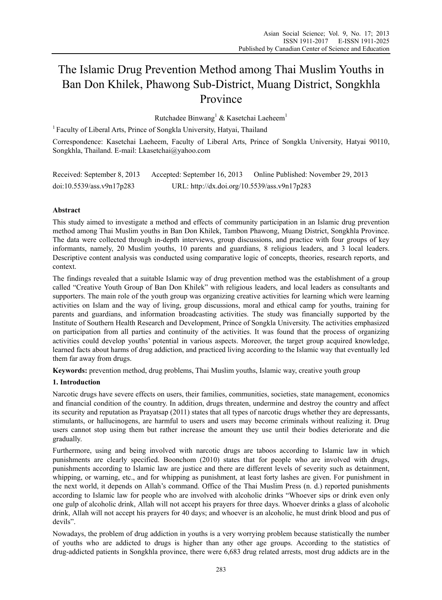# The Islamic Drug Prevention Method among Thai Muslim Youths in Ban Don Khilek, Phawong Sub-District, Muang District, Songkhla Province

Rutchadee Binwang<sup>1</sup> & Kasetchai Laeheem<sup>1</sup>

1 Faculty of Liberal Arts, Prince of Songkla University, Hatyai, Thailand

Correspondence: Kasetchai Laeheem, Faculty of Liberal Arts, Prince of Songkla University, Hatyai 90110, Songkhla, Thailand. E-mail: Lkasetchai@yahoo.com

Received: September 8, 2013 Accepted: September 16, 2013 Online Published: November 29, 2013 doi:10.5539/ass.v9n17p283 URL: http://dx.doi.org/10.5539/ass.v9n17p283

# **Abstract**

This study aimed to investigate a method and effects of community participation in an Islamic drug prevention method among Thai Muslim youths in Ban Don Khilek, Tambon Phawong, Muang District, Songkhla Province. The data were collected through in-depth interviews, group discussions, and practice with four groups of key informants, namely, 20 Muslim youths, 10 parents and guardians, 8 religious leaders, and 3 local leaders. Descriptive content analysis was conducted using comparative logic of concepts, theories, research reports, and context.

The findings revealed that a suitable Islamic way of drug prevention method was the establishment of a group called "Creative Youth Group of Ban Don Khilek" with religious leaders, and local leaders as consultants and supporters. The main role of the youth group was organizing creative activities for learning which were learning activities on Islam and the way of living, group discussions, moral and ethical camp for youths, training for parents and guardians, and information broadcasting activities. The study was financially supported by the Institute of Southern Health Research and Development, Prince of Songkla University. The activities emphasized on participation from all parties and continuity of the activities. It was found that the process of organizing activities could develop youths' potential in various aspects. Moreover, the target group acquired knowledge, learned facts about harms of drug addiction, and practiced living according to the Islamic way that eventually led them far away from drugs.

**Keywords:** prevention method, drug problems, Thai Muslim youths, Islamic way, creative youth group

# **1. Introduction**

Narcotic drugs have severe effects on users, their families, communities, societies, state management, economics and financial condition of the country. In addition, drugs threaten, undermine and destroy the country and affect its security and reputation as Prayatsap (2011) states that all types of narcotic drugs whether they are depressants, stimulants, or hallucinogens, are harmful to users and users may become criminals without realizing it. Drug users cannot stop using them but rather increase the amount they use until their bodies deteriorate and die gradually.

Furthermore, using and being involved with narcotic drugs are taboos according to Islamic law in which punishments are clearly specified. Boonchom (2010) states that for people who are involved with drugs, punishments according to Islamic law are justice and there are different levels of severity such as detainment, whipping, or warning, etc., and for whipping as punishment, at least forty lashes are given. For punishment in the next world, it depends on Allah's command. Office of the Thai Muslim Press (n. d.) reported punishments according to Islamic law for people who are involved with alcoholic drinks "Whoever sips or drink even only one gulp of alcoholic drink, Allah will not accept his prayers for three days. Whoever drinks a glass of alcoholic drink, Allah will not accept his prayers for 40 days; and whoever is an alcoholic, he must drink blood and pus of devils".

Nowadays, the problem of drug addiction in youths is a very worrying problem because statistically the number of youths who are addicted to drugs is higher than any other age groups. According to the statistics of drug-addicted patients in Songkhla province, there were 6,683 drug related arrests, most drug addicts are in the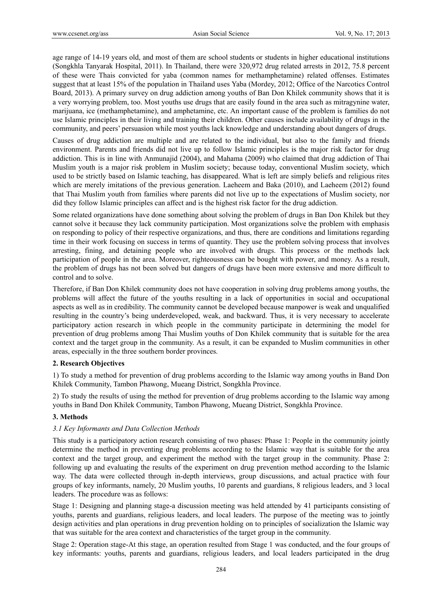age range of 14-19 years old, and most of them are school students or students in higher educational institutions (Songkhla Tanyarak Hospital, 2011). In Thailand, there were 320,972 drug related arrests in 2012, 75.8 percent of these were Thais convicted for yaba (common names for methamphetamine) related offenses. Estimates suggest that at least 15% of the population in Thailand uses Yaba (Mordey, 2012; Office of the Narcotics Control Board, 2013). A primary survey on drug addiction among youths of Ban Don Khilek community shows that it is a very worrying problem, too. Most youths use drugs that are easily found in the area such as mitragynine water, marijuana, ice (methamphetamine), and amphetamine, etc. An important cause of the problem is families do not use Islamic principles in their living and training their children. Other causes include availability of drugs in the community, and peers' persuasion while most youths lack knowledge and understanding about dangers of drugs.

Causes of drug addiction are multiple and are related to the individual, but also to the family and friends environment. Parents and friends did not live up to follow Islamic principles is the major risk factor for drug addiction. This is in line with Anmunajid (2004), and Mahama (2009) who claimed that drug addiction of Thai Muslim youth is a major risk problem in Muslim society; because today, conventional Muslim society, which used to be strictly based on Islamic teaching, has disappeared. What is left are simply beliefs and religious rites which are merely imitations of the previous generation. Laeheem and Baka (2010), and Laeheem (2012) found that Thai Muslim youth from families where parents did not live up to the expectations of Muslim society, nor did they follow Islamic principles can affect and is the highest risk factor for the drug addiction.

Some related organizations have done something about solving the problem of drugs in Ban Don Khilek but they cannot solve it because they lack community participation. Most organizations solve the problem with emphasis on responding to policy of their respective organizations, and thus, there are conditions and limitations regarding time in their work focusing on success in terms of quantity. They use the problem solving process that involves arresting, fining, and detaining people who are involved with drugs. This process or the methods lack participation of people in the area. Moreover, righteousness can be bought with power, and money. As a result, the problem of drugs has not been solved but dangers of drugs have been more extensive and more difficult to control and to solve.

Therefore, if Ban Don Khilek community does not have cooperation in solving drug problems among youths, the problems will affect the future of the youths resulting in a lack of opportunities in social and occupational aspects as well as in credibility. The community cannot be developed because manpower is weak and unqualified resulting in the country's being underdeveloped, weak, and backward. Thus, it is very necessary to accelerate participatory action research in which people in the community participate in determining the model for prevention of drug problems among Thai Muslim youths of Don Khilek community that is suitable for the area context and the target group in the community. As a result, it can be expanded to Muslim communities in other areas, especially in the three southern border provinces.

# **2. Research Objectives**

1) To study a method for prevention of drug problems according to the Islamic way among youths in Band Don Khilek Community, Tambon Phawong, Mueang District, Songkhla Province.

2) To study the results of using the method for prevention of drug problems according to the Islamic way among youths in Band Don Khilek Community, Tambon Phawong, Mueang District, Songkhla Province.

# **3. Methods**

# *3.1 Key Informants and Data Collection Methods*

This study is a participatory action research consisting of two phases: Phase 1: People in the community jointly determine the method in preventing drug problems according to the Islamic way that is suitable for the area context and the target group, and experiment the method with the target group in the community. Phase 2: following up and evaluating the results of the experiment on drug prevention method according to the Islamic way. The data were collected through in-depth interviews, group discussions, and actual practice with four groups of key informants, namely, 20 Muslim youths, 10 parents and guardians, 8 religious leaders, and 3 local leaders. The procedure was as follows:

Stage 1: Designing and planning stage-a discussion meeting was held attended by 41 participants consisting of youths, parents and guardians, religious leaders, and local leaders. The purpose of the meeting was to jointly design activities and plan operations in drug prevention holding on to principles of socialization the Islamic way that was suitable for the area context and characteristics of the target group in the community.

Stage 2: Operation stage-At this stage, an operation resulted from Stage 1 was conducted, and the four groups of key informants: youths, parents and guardians, religious leaders, and local leaders participated in the drug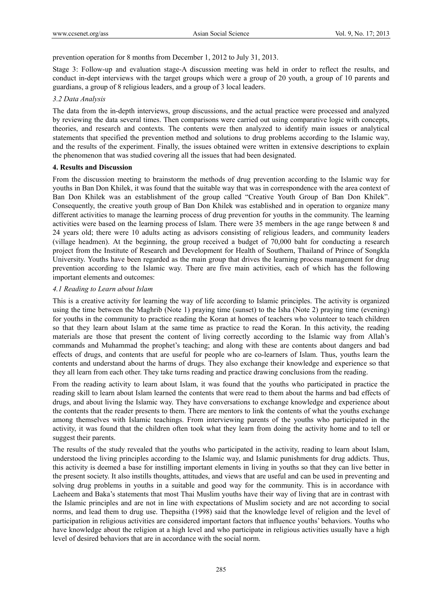prevention operation for 8 months from December 1, 2012 to July 31, 2013.

Stage 3: Follow-up and evaluation stage-A discussion meeting was held in order to reflect the results, and conduct in-dept interviews with the target groups which were a group of 20 youth, a group of 10 parents and guardians, a group of 8 religious leaders, and a group of 3 local leaders.

## *3.2 Data Analysis*

The data from the in-depth interviews, group discussions, and the actual practice were processed and analyzed by reviewing the data several times. Then comparisons were carried out using comparative logic with concepts, theories, and research and contexts. The contents were then analyzed to identify main issues or analytical statements that specified the prevention method and solutions to drug problems according to the Islamic way, and the results of the experiment. Finally, the issues obtained were written in extensive descriptions to explain the phenomenon that was studied covering all the issues that had been designated.

## **4. Results and Discussion**

From the discussion meeting to brainstorm the methods of drug prevention according to the Islamic way for youths in Ban Don Khilek, it was found that the suitable way that was in correspondence with the area context of Ban Don Khilek was an establishment of the group called "Creative Youth Group of Ban Don Khilek". Consequently, the creative youth group of Ban Don Khilek was established and in operation to organize many different activities to manage the learning process of drug prevention for youths in the community. The learning activities were based on the learning process of Islam. There were 35 members in the age range between 8 and 24 years old; there were 10 adults acting as advisors consisting of religious leaders, and community leaders (village headmen). At the beginning, the group received a budget of 70,000 baht for conducting a research project from the Institute of Research and Development for Health of Southern, Thailand of Prince of Songkla University. Youths have been regarded as the main group that drives the learning process management for drug prevention according to the Islamic way. There are five main activities, each of which has the following important elements and outcomes:

## *4.1 Reading to Learn about Islam*

This is a creative activity for learning the way of life according to Islamic principles. The activity is organized using the time between the Maghrib (Note 1) praying time (sunset) to the Isha (Note 2) praying time (evening) for youths in the community to practice reading the Koran at homes of teachers who volunteer to teach children so that they learn about Islam at the same time as practice to read the Koran. In this activity, the reading materials are those that present the content of living correctly according to the Islamic way from Allah's commands and Muhammad the prophet's teaching; and along with these are contents about dangers and bad effects of drugs, and contents that are useful for people who are co-learners of Islam. Thus, youths learn the contents and understand about the harms of drugs. They also exchange their knowledge and experience so that they all learn from each other. They take turns reading and practice drawing conclusions from the reading.

From the reading activity to learn about Islam, it was found that the youths who participated in practice the reading skill to learn about Islam learned the contents that were read to them about the harms and bad effects of drugs, and about living the Islamic way. They have conversations to exchange knowledge and experience about the contents that the reader presents to them. There are mentors to link the contents of what the youths exchange among themselves with Islamic teachings. From interviewing parents of the youths who participated in the activity, it was found that the children often took what they learn from doing the activity home and to tell or suggest their parents.

The results of the study revealed that the youths who participated in the activity, reading to learn about Islam, understood the living principles according to the Islamic way, and Islamic punishments for drug addicts. Thus, this activity is deemed a base for instilling important elements in living in youths so that they can live better in the present society. It also instills thoughts, attitudes, and views that are useful and can be used in preventing and solving drug problems in youths in a suitable and good way for the community. This is in accordance with Laeheem and Baka's statements that most Thai Muslim youths have their way of living that are in contrast with the Islamic principles and are not in line with expectations of Muslim society and are not according to social norms, and lead them to drug use. Thepsitha (1998) said that the knowledge level of religion and the level of participation in religious activities are considered important factors that influence youths' behaviors. Youths who have knowledge about the religion at a high level and who participate in religious activities usually have a high level of desired behaviors that are in accordance with the social norm.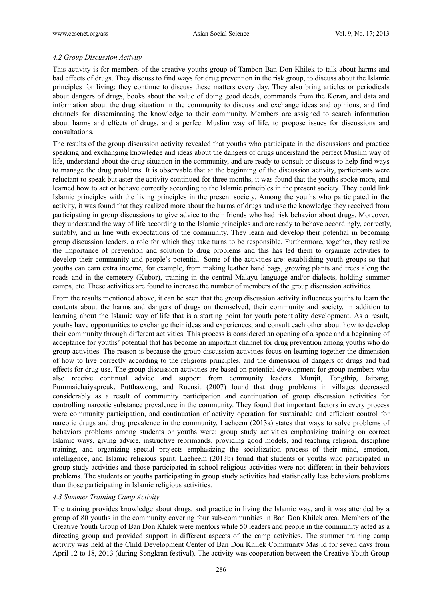# *4.2 Group Discussion Activity*

This activity is for members of the creative youths group of Tambon Ban Don Khilek to talk about harms and bad effects of drugs. They discuss to find ways for drug prevention in the risk group, to discuss about the Islamic principles for living; they continue to discuss these matters every day. They also bring articles or periodicals about dangers of drugs, books about the value of doing good deeds, commands from the Koran, and data and information about the drug situation in the community to discuss and exchange ideas and opinions, and find channels for disseminating the knowledge to their community. Members are assigned to search information about harms and effects of drugs, and a perfect Muslim way of life, to propose issues for discussions and consultations.

The results of the group discussion activity revealed that youths who participate in the discussions and practice speaking and exchanging knowledge and ideas about the dangers of drugs understand the perfect Muslim way of life, understand about the drug situation in the community, and are ready to consult or discuss to help find ways to manage the drug problems. It is observable that at the beginning of the discussion activity, participants were reluctant to speak but aster the activity continued for three months, it was found that the youths spoke more, and learned how to act or behave correctly according to the Islamic principles in the present society. They could link Islamic principles with the living principles in the present society. Among the youths who participated in the activity, it was found that they realized more about the harms of drugs and use the knowledge they received from participating in group discussions to give advice to their friends who had risk behavior about drugs. Moreover, they understand the way of life according to the Islamic principles and are ready to behave accordingly, correctly, suitably, and in line with expectations of the community. They learn and develop their potential in becoming group discussion leaders, a role for which they take turns to be responsible. Furthermore, together, they realize the importance of prevention and solution to drug problems and this has led them to organize activities to develop their community and people's potential. Some of the activities are: establishing youth groups so that youths can earn extra income, for example, from making leather hand bags, growing plants and trees along the roads and in the cemetery (Kubor), training in the central Malayu language and/or dialects, holding summer camps, etc. These activities are found to increase the number of members of the group discussion activities.

From the results mentioned above, it can be seen that the group discussion activity influences youths to learn the contents about the harms and dangers of drugs on themselved, their community and society, in addition to learning about the Islamic way of life that is a starting point for youth potentiality development. As a result, youths have opportunities to exchange their ideas and experiences, and consult each other about how to develop their community through different activities. This process is considered an opening of a space and a beginning of acceptance for youths' potential that has become an important channel for drug prevention among youths who do group activities. The reason is because the group discussion activities focus on learning together the dimension of how to live correctly according to the religious principles, and the dimension of dangers of drugs and bad effects for drug use. The group discussion activities are based on potential development for group members who also receive continual advice and support from community leaders. Munjit, Tongthip, Jaipang, Pummaichaiyapreuk, Putthawong, and Ruensit (2007) found that drug problems in villages decreased considerably as a result of community participation and continuation of group discussion activities for controlling narcotic substance prevalence in the community. They found that important factors in every process were community participation, and continuation of activity operation for sustainable and efficient control for narcotic drugs and drug prevalence in the community. Laeheem (2013a) states that ways to solve problems of behaviors problems among students or youths were: group study activities emphasizing training on correct Islamic ways, giving advice, instructive reprimands, providing good models, and teaching religion, discipline training, and organizing special projects emphasizing the socialization process of their mind, emotion, intelligence, and Islamic religious spirit. Laeheem (2013b) found that students or youths who participated in group study activities and those participated in school religious activities were not different in their behaviors problems. The students or youths participating in group study activities had statistically less behaviors problems than those participating in Islamic religious activities.

# *4.3 Summer Training Camp Activity*

The training provides knowledge about drugs, and practice in living the Islamic way, and it was attended by a group of 80 youths in the community covering four sub-communities in Ban Don Khilek area. Members of the Creative Youth Group of Ban Don Khilek were mentors while 50 leaders and people in the community acted as a directing group and provided support in different aspects of the camp activities. The summer training camp activity was held at the Child Development Center of Ban Don Khilek Community Masjid for seven days from April 12 to 18, 2013 (during Songkran festival). The activity was cooperation between the Creative Youth Group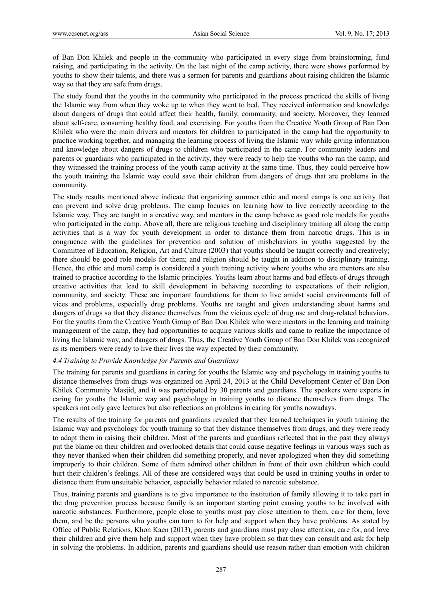of Ban Don Khilek and people in the community who participated in every stage from brainstorming, fund raising, and participating in the activity. On the last night of the camp activity, there were shows performed by youths to show their talents, and there was a sermon for parents and guardians about raising children the Islamic way so that they are safe from drugs.

The study found that the youths in the community who participated in the process practiced the skills of living the Islamic way from when they woke up to when they went to bed. They received information and knowledge about dangers of drugs that could affect their health, family, community, and society. Moreover, they learned about self-care, consuming healthy food, and exercising. For youths from the Creative Youth Group of Ban Don Khilek who were the main drivers and mentors for children to participated in the camp had the opportunity to practice working together, and managing the learning process of living the Islamic way while giving information and knowledge about dangers of drugs to children who participated in the camp. For community leaders and parents or guardians who participated in the activity, they were ready to help the youths who ran the camp, and they witnessed the training process of the youth camp activity at the same time. Thus, they could perceive how the youth training the Islamic way could save their children from dangers of drugs that are problems in the community.

The study results mentioned above indicate that organizing summer ethic and moral camps is one activity that can prevent and solve drug problems. The camp focuses on learning how to live correctly according to the Islamic way. They are taught in a creative way, and mentors in the camp behave as good role models for youths who participated in the camp. Above all, there are religious teaching and disciplinary training all along the camp activities that is a way for youth development in order to distance them from narcotic drugs. This is in congruence with the guidelines for prevention and solution of misbehaviors in youths suggested by the Committee of Education, Religion, Art and Culture (2003) that youths should be taught correctly and creatively; there should be good role models for them; and religion should be taught in addition to disciplinary training. Hence, the ethic and moral camp is considered a youth training activity where youths who are mentors are also trained to practice according to the Islamic principles. Youths learn about harms and bad effects of drugs through creative activities that lead to skill development in behaving according to expectations of their religion, community, and society. These are important foundations for them to live amidst social environments full of vices and problems, especially drug problems. Youths are taught and given understanding about harms and dangers of drugs so that they distance themselves from the vicious cycle of drug use and drug-related behaviors. For the youths from the Creative Youth Group of Ban Don Khilek who were mentors in the learning and training management of the camp, they had opportunities to acquire various skills and came to realize the importance of living the Islamic way, and dangers of drugs. Thus, the Creative Youth Group of Ban Don Khilek was recognized as its members were ready to live their lives the way expected by their community.

# *4.4 Training to Provide Knowledge for Parents and Guardians*

The training for parents and guardians in caring for youths the Islamic way and psychology in training youths to distance themselves from drugs was organized on April 24, 2013 at the Child Development Center of Ban Don Khilek Community Masjid, and it was participated by 30 parents and guardians. The speakers were experts in caring for youths the Islamic way and psychology in training youths to distance themselves from drugs. The speakers not only gave lectures but also reflections on problems in caring for youths nowadays.

The results of the training for parents and guardians revealed that they learned techniques in youth training the Islamic way and psychology for youth training so that they distance themselves from drugs, and they were ready to adapt them in raising their children. Most of the parents and guardians reflected that in the past they always put the blame on their children and overlooked details that could cause negative feelings in various ways such as they never thanked when their children did something properly, and never apologized when they did something improperly to their children. Some of them admired other children in front of their own children which could hurt their children's feelings. All of these are considered ways that could be used in training youths in order to distance them from unsuitable behavior, especially behavior related to narcotic substance.

Thus, training parents and guardians is to give importance to the institution of family allowing it to take part in the drug prevention process because family is an important starting point causing youths to be involved with narcotic substances. Furthermore, people close to youths must pay close attention to them, care for them, love them, and be the persons who youths can turn to for help and support when they have problems. As stated by Office of Public Relations, Khon Kaen (2013), parents and guardians must pay close attention, care for, and love their children and give them help and support when they have problem so that they can consult and ask for help in solving the problems. In addition, parents and guardians should use reason rather than emotion with children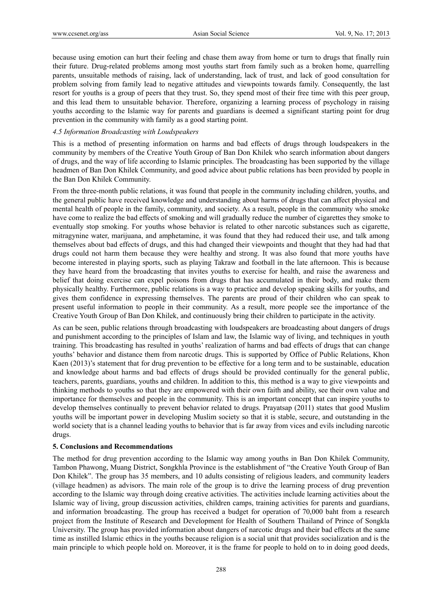because using emotion can hurt their feeling and chase them away from home or turn to drugs that finally ruin their future. Drug-related problems among most youths start from family such as a broken home, quarrelling parents, unsuitable methods of raising, lack of understanding, lack of trust, and lack of good consultation for problem solving from family lead to negative attitudes and viewpoints towards family. Consequently, the last resort for youths is a group of peers that they trust. So, they spend most of their free time with this peer group, and this lead them to unsuitable behavior. Therefore, organizing a learning process of psychology in raising youths according to the Islamic way for parents and guardians is deemed a significant starting point for drug prevention in the community with family as a good starting point.

## *4.5 Information Broadcasting with Loudspeakers*

This is a method of presenting information on harms and bad effects of drugs through loudspeakers in the community by members of the Creative Youth Group of Ban Don Khilek who search information about dangers of drugs, and the way of life according to Islamic principles. The broadcasting has been supported by the village headmen of Ban Don Khilek Community, and good advice about public relations has been provided by people in the Ban Don Khilek Community.

From the three-month public relations, it was found that people in the community including children, youths, and the general public have received knowledge and understanding about harms of drugs that can affect physical and mental health of people in the family, community, and society. As a result, people in the community who smoke have come to realize the bad effects of smoking and will gradually reduce the number of cigarettes they smoke to eventually stop smoking. For youths whose behavior is related to other narcotic substances such as cigarette, mitragynine water, marijuana, and amphetamine, it was found that they had reduced their use, and talk among themselves about bad effects of drugs, and this had changed their viewpoints and thought that they had had that drugs could not harm them because they were healthy and strong. It was also found that more youths have become interested in playing sports, such as playing Takraw and football in the late afternoon. This is because they have heard from the broadcasting that invites youths to exercise for health, and raise the awareness and belief that doing exercise can expel poisons from drugs that has accumulated in their body, and make them physically healthy. Furthermore, public relations is a way to practice and develop speaking skills for youths, and gives them confidence in expressing themselves. The parents are proud of their children who can speak to present useful information to people in their community. As a result, more people see the importance of the Creative Youth Group of Ban Don Khilek, and continuously bring their children to participate in the activity.

As can be seen, public relations through broadcasting with loudspeakers are broadcasting about dangers of drugs and punishment according to the principles of Islam and law, the Islamic way of living, and techniques in youth training. This broadcasting has resulted in youths' realization of harms and bad effects of drugs that can change youths' behavior and distance them from narcotic drugs. This is supported by Office of Public Relations, Khon Kaen (2013)'s statement that for drug prevention to be effective for a long term and to be sustainable, education and knowledge about harms and bad effects of drugs should be provided continually for the general public, teachers, parents, guardians, youths and children. In addition to this, this method is a way to give viewpoints and thinking methods to youths so that they are empowered with their own faith and ability, see their own value and importance for themselves and people in the community. This is an important concept that can inspire youths to develop themselves continually to prevent behavior related to drugs. Prayatsap (2011) states that good Muslim youths will be important power in developing Muslim society so that it is stable, secure, and outstanding in the world society that is a channel leading youths to behavior that is far away from vices and evils including narcotic drugs.

#### **5. Conclusions and Recommendations**

The method for drug prevention according to the Islamic way among youths in Ban Don Khilek Community, Tambon Phawong, Muang District, Songkhla Province is the establishment of "the Creative Youth Group of Ban Don Khilek". The group has 35 members, and 10 adults consisting of religious leaders, and community leaders (village headmen) as advisors. The main role of the group is to drive the learning process of drug prevention according to the Islamic way through doing creative activities. The activities include learning activities about the Islamic way of living, group discussion activities, children camps, training activities for parents and guardians, and information broadcasting. The group has received a budget for operation of 70,000 baht from a research project from the Institute of Research and Development for Health of Southern Thailand of Prince of Songkla University. The group has provided information about dangers of narcotic drugs and their bad effects at the same time as instilled Islamic ethics in the youths because religion is a social unit that provides socialization and is the main principle to which people hold on. Moreover, it is the frame for people to hold on to in doing good deeds,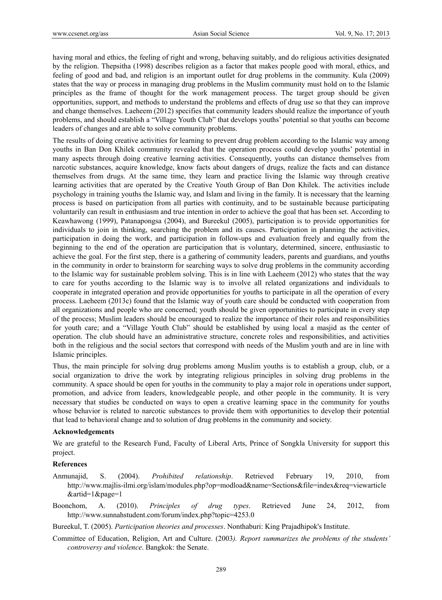having moral and ethics, the feeling of right and wrong, behaving suitably, and do religious activities designated by the religion. Thepsitha (1998) describes religion as a factor that makes people good with moral, ethics, and feeling of good and bad, and religion is an important outlet for drug problems in the community. Kula (2009) states that the way or process in managing drug problems in the Muslim community must hold on to the Islamic principles as the frame of thought for the work management process. The target group should be given opportunities, support, and methods to understand the problems and effects of drug use so that they can improve and change themselves. Laeheem (2012) specifies that community leaders should realize the importance of youth problems, and should establish a "Village Youth Club" that develops youths' potential so that youths can become leaders of changes and are able to solve community problems.

The results of doing creative activities for learning to prevent drug problem according to the Islamic way among youths in Ban Don Khilek community revealed that the operation process could develop youths' potential in many aspects through doing creative learning activities. Consequently, youths can distance themselves from narcotic substances, acquire knowledge, know facts about dangers of drugs, realize the facts and can distance themselves from drugs. At the same time, they learn and practice living the Islamic way through creative learning activities that are operated by the Creative Youth Group of Ban Don Khilek. The activities include psychology in training youths the Islamic way, and Islam and living in the family. It is necessary that the learning process is based on participation from all parties with continuity, and to be sustainable because participating voluntarily can result in enthusiasm and true intention in order to achieve the goal that has been set. According to Keawhawong (1999), Patanapongsa (2004), and Bureekul (2005), participation is to provide opportunities for individuals to join in thinking, searching the problem and its causes. Participation in planning the activities, participation in doing the work, and participation in follow-ups and evaluation freely and equally from the beginning to the end of the operation are participation that is voluntary, determined, sincere, enthusiastic to achieve the goal. For the first step, there is a gathering of community leaders, parents and guardians, and youths in the community in order to brainstorm for searching ways to solve drug problems in the community according to the Islamic way for sustainable problem solving. This is in line with Laeheem (2012) who states that the way to care for youths according to the Islamic way is to involve all related organizations and individuals to cooperate in integrated operation and provide opportunities for youths to participate in all the operation of every process. Laeheem (2013c) found that the Islamic way of youth care should be conducted with cooperation from all organizations and people who are concerned; youth should be given opportunities to participate in every step of the process; Muslim leaders should be encouraged to realize the importance of their roles and responsibilities for youth care; and a "Village Youth Club" should be established by using local a masjid as the center of operation. The club should have an administrative structure, concrete roles and responsibilities, and activities both in the religious and the social sectors that correspond with needs of the Muslim youth and are in line with Islamic principles.

Thus, the main principle for solving drug problems among Muslim youths is to establish a group, club, or a social organization to drive the work by integrating religious principles in solving drug problems in the community. A space should be open for youths in the community to play a major role in operations under support, promotion, and advice from leaders, knowledgeable people, and other people in the community. It is very necessary that studies be conducted on ways to open a creative learning space in the community for youths whose behavior is related to narcotic substances to provide them with opportunities to develop their potential that lead to behavioral change and to solution of drug problems in the community and society.

## **Acknowledgements**

We are grateful to the Research Fund, Faculty of Liberal Arts, Prince of Songkla University for support this project.

# **References**

- Anmunajid, S. (2004). *Prohibited relationship*. Retrieved February 19, 2010, from http://www.majlis-ilmi.org/islam/modules.php?op=modload&name=Sections&file=index&req=viewarticle &artid=1&page=1
- Boonchom, A. (2010). *Principles of drug types*. Retrieved June 24, 2012, from http://www.sunnahstudent.com/forum/index.php?topic=4253.0

Bureekul, T. (2005). *Participation theories and processes*. Nonthaburi: King Prajadhipok's Institute.

Committee of Education, Religion, Art and Culture. (2003*). Report summarizes the problems of the students' controversy and violence*. Bangkok: the Senate.